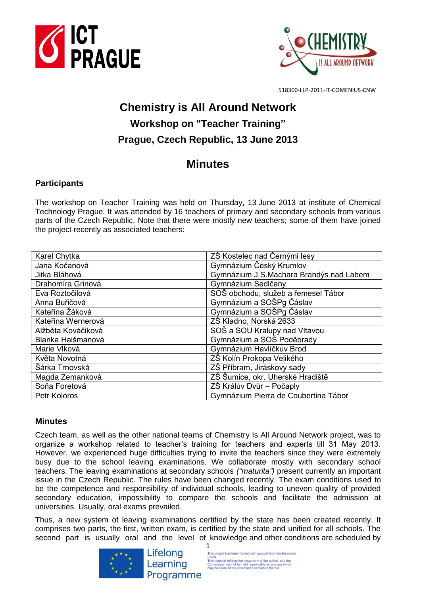



518300-LLP-2011-IT-COMENIUS-CNW

# **Chemistry is All Around Network Workshop on "Teacher Training" Prague, Czech Republic, 13 June 2013**

## **Minutes**

## **Participants**

The workshop on Teacher Training was held on Thursday, 13 June 2013 at institute of Chemical Technology Prague. It was attended by 16 teachers of primary and secondary schools from various parts of the Czech Republic. Note that there were mostly new teachers; some of them have joined the project recently as associated teachers:

| Karel Chytka       | ZŠ Kostelec nad Černými lesy            |
|--------------------|-----------------------------------------|
| Jana Kočanová      | Gymnázium Český Krumlov                 |
| Jitka Bláhová      | Gymnázium J.S.Machara Brandýs nad Labem |
| Drahomíra Grinová  | Gymnázium Sedlčany                      |
| Eva Roztočilová    | SOŠ obchodu, služeb a řemesel Tábor     |
| Anna Buřičová      | Gymnázium a SOŠPg Čáslav                |
| Kateřina Žáková    | Gymnázium a SOŠPg Čáslav                |
| Kateřina Wernerová | ZŠ Kladno, Norská 2633                  |
| Alžběta Kováčiková | SOŠ a SOU Kralupy nad Vltavou           |
| Blanka Haišmanová  | Gymnázium a SOŠ Poděbrady               |
| Marie Vlková       | Gymnázium Havlíčkův Brod                |
| Květa Novotná      | ZŠ Kolín Prokopa Velikého               |
| Šárka Trnovská     | ZŠ Příbram, Jiráskovy sady              |
| Magda Zemanková    | ZŠ Šumice, okr. Uherské Hradiště        |
| Soňa Foretová      | ZŠ Králův Dvůr – Počaply                |
| Petr Koloros       | Gymnázium Pierra de Coubertina Tábor    |

## **Minutes**

Czech team, as well as the other national teams of Chemistry Is All Around Network project, was to organize a workshop related to teacher's training for teachers and experts till 31 May 2013. However, we experienced huge difficulties trying to invite the teachers since they were extremely busy due to the school leaving examinations. We collaborate mostly with secondary school teachers. The leaving examinations at secondary schools *("maturita")* present currently an important issue in the Czech Republic. The rules have been changed recently. The exam conditions used to be the competence and responsibility of individual schools, leading to uneven quality of provided secondary education, impossibility to compare the schools and facilitate the admission at universities. Usually, oral exams prevailed.

Thus, a new system of leaving examinations certified by the state has been created recently. It comprises two parts, the first, written exam, is certified by the state and unified for all schools. The second part is usually oral and the level of knowledge and other conditions are scheduled by



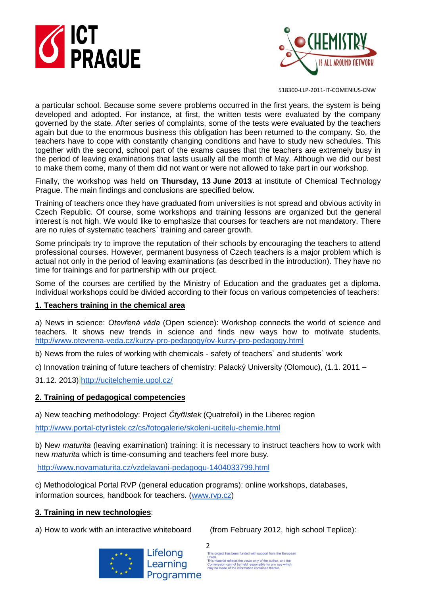



518300-LLP-2011-IT-COMENIUS-CNW

a particular school. Because some severe problems occurred in the first years, the system is being developed and adopted. For instance, at first, the written tests were evaluated by the company governed by the state. After series of complaints, some of the tests were evaluated by the teachers again but due to the enormous business this obligation has been returned to the company. So, the teachers have to cope with constantly changing conditions and have to study new schedules. This together with the second, school part of the exams causes that the teachers are extremely busy in the period of leaving examinations that lasts usually all the month of May. Although we did our best to make them come, many of them did not want or were not allowed to take part in our workshop.

Finally, the workshop was held o**n Thursday, 13 June 2013** at institute of Chemical Technology Prague. The main findings and conclusions are specified below.

Training of teachers once they have graduated from universities is not spread and obvious activity in Czech Republic. Of course, some workshops and training lessons are organized but the general interest is not high. We would like to emphasize that courses for teachers are not mandatory. There are no rules of systematic teachers` training and career growth.

Some principals try to improve the reputation of their schools by encouraging the teachers to attend professional courses. However, permanent busyness of Czech teachers is a major problem which is actual not only in the period of leaving examinations (as described in the introduction). They have no time for trainings and for partnership with our project.

Some of the courses are certified by the Ministry of Education and the graduates get a diploma. Individual workshops could be divided according to their focus on various competencies of teachers:

#### **1. Teachers training in the chemical area**

a) News in science: *Otevřená věda* (Open science): Workshop connects the world of science and teachers. It shows new trends in science and finds new ways how to motivate students. <http://www.otevrena-veda.cz/kurzy-pro-pedagogy/ov-kurzy-pro-pedagogy.html>

b) News from the rules of working with chemicals - safety of teachers` and students` work

c) Innovation training of future teachers of chemistry: Palacký University (Olomouc), (1.1. 2011 –

31.12. 2013) <http://ucitelchemie.upol.cz/>

#### **2. Training of pedagogical competencies**

a) New teaching methodology: Project *Čtyřlístek* (Quatrefoil) in the Liberec region

<http://www.portal-ctyrlistek.cz/cs/fotogalerie/skoleni-ucitelu-chemie.html>

b) New *maturita* (leaving examination) training: it is necessary to instruct teachers how to work with new *maturita* which is time-consuming and teachers feel more busy.

<http://www.novamaturita.cz/vzdelavani-pedagogu-1404033799.html>

c) Methodological Portal RVP (general education programs): online workshops, databases, information sources, handbook for teachers. [\(www.rvp.cz\)](http://www.rvp.cz/)

#### **3. Training in new technologies**:

a) How to work with an interactive whiteboard (from February 2012, high school Teplice):



Lifelong Learning Programme

2<br>This project has been funded with support from the European Union.<br>This material reflects the views only of the author, and the<br>Commission cannot be held responsible for any use which<br>may be made of the information contained therein.